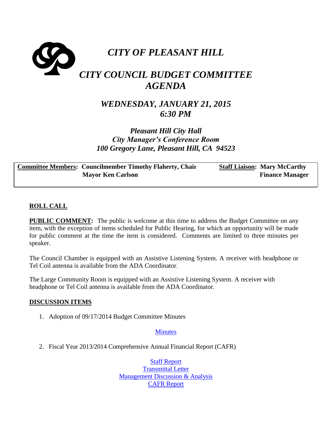

# *WEDNESDAY, JANUARY 21, 2015 6:30 PM*

## *Pleasant Hill City Hall City Manager's Conference Room 100 Gregory Lane, Pleasant Hill, CA 94523*

**Committee Members: Councilmember Timothy Flaherty, Chair Mayor Ken Carlson Staff Liaison: Mary McCarthy Finance Manager**

## **ROLL CALL**

**PUBLIC COMMENT:** The public is welcome at this time to address the Budget Committee on any item, with the exception of items scheduled for Public Hearing, for which an opportunity will be made for public comment at the time the item is considered. Comments are limited to three minutes per speaker.

The Council Chamber is equipped with an Assistive Listening System. A receiver with headphone or Tel Coil antenna is available from the ADA Coordinator.

The Large Community Room is equipped with an Assistive Listening System. A receiver with headphone or Tel Coil antenna is available from the ADA Coordinator.

#### **DISCUSSION ITEMS**

1. Adoption of 09/17/2014 Budget Committee Minutes

#### **[Minutes](http://www.ci.pleasant-hill.ca.us/DocumentCenter/View/13668)**

2. Fiscal Year 2013/2014 Comprehensive Annual Financial Report (CAFR)

[Staff Report](http://www.ci.pleasant-hill.ca.us/DocumentCenter/View/13675) [Transmittal Letter](http://www.ci.pleasant-hill.ca.us/DocumentCenter/View/13669) **[Management Discussion & Analysis](http://www.ci.pleasant-hill.ca.us/DocumentCenter/View/13670)** [CAFR Report](http://www.ci.pleasant-hill.ca.us/DocumentCenter/View/13671)